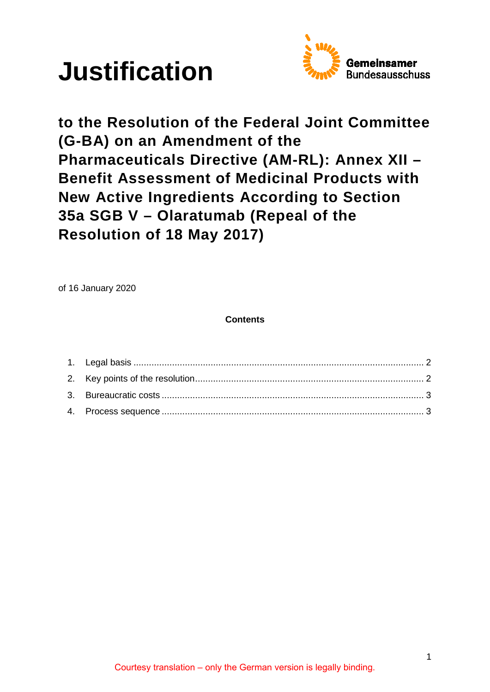



**to the Resolution of the Federal Joint Committee (G-BA) on an Amendment of the Pharmaceuticals Directive (AM-RL): Annex XII – Benefit Assessment of Medicinal Products with New Active Ingredients According to Section 35a SGB V – Olaratumab (Repeal of the Resolution of 18 May 2017)**

of 16 January 2020

**Contents**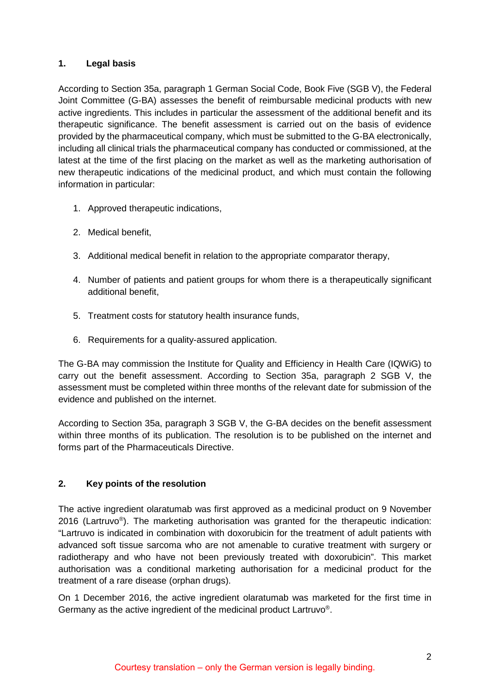# <span id="page-1-0"></span>**1. Legal basis**

According to Section 35a, paragraph 1 German Social Code, Book Five (SGB V), the Federal Joint Committee (G-BA) assesses the benefit of reimbursable medicinal products with new active ingredients. This includes in particular the assessment of the additional benefit and its therapeutic significance. The benefit assessment is carried out on the basis of evidence provided by the pharmaceutical company, which must be submitted to the G-BA electronically, including all clinical trials the pharmaceutical company has conducted or commissioned, at the latest at the time of the first placing on the market as well as the marketing authorisation of new therapeutic indications of the medicinal product, and which must contain the following information in particular:

- 1. Approved therapeutic indications,
- 2. Medical benefit,
- 3. Additional medical benefit in relation to the appropriate comparator therapy,
- 4. Number of patients and patient groups for whom there is a therapeutically significant additional benefit,
- 5. Treatment costs for statutory health insurance funds,
- 6. Requirements for a quality-assured application.

The G-BA may commission the Institute for Quality and Efficiency in Health Care (IQWiG) to carry out the benefit assessment. According to Section 35a, paragraph 2 SGB V, the assessment must be completed within three months of the relevant date for submission of the evidence and published on the internet.

According to Section 35a, paragraph 3 SGB V, the G-BA decides on the benefit assessment within three months of its publication. The resolution is to be published on the internet and forms part of the Pharmaceuticals Directive.

# <span id="page-1-1"></span>**2. Key points of the resolution**

The active ingredient olaratumab was first approved as a medicinal product on 9 November 2016 (Lartruvo®). The marketing authorisation was granted for the therapeutic indication: "Lartruvo is indicated in combination with doxorubicin for the treatment of adult patients with advanced soft tissue sarcoma who are not amenable to curative treatment with surgery or radiotherapy and who have not been previously treated with doxorubicin". This market authorisation was a conditional marketing authorisation for a medicinal product for the treatment of a rare disease (orphan drugs).

On 1 December 2016, the active ingredient olaratumab was marketed for the first time in Germany as the active ingredient of the medicinal product Lartruvo®.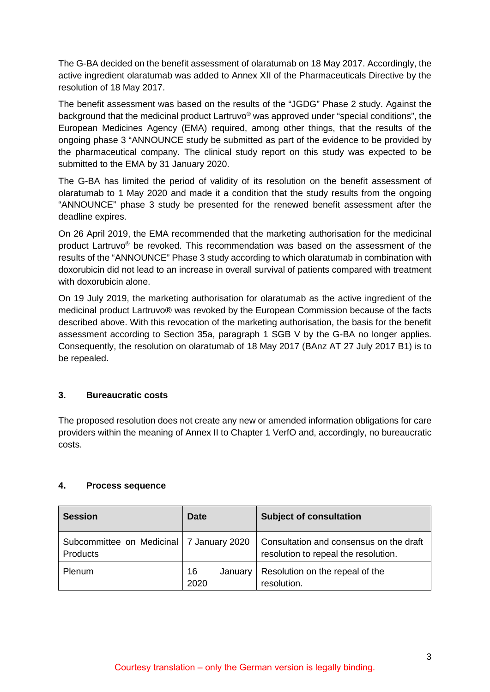The G-BA decided on the benefit assessment of olaratumab on 18 May 2017. Accordingly, the active ingredient olaratumab was added to Annex XII of the Pharmaceuticals Directive by the resolution of 18 May 2017.

The benefit assessment was based on the results of the "JGDG" Phase 2 study. Against the background that the medicinal product Lartruvo® was approved under "special conditions", the European Medicines Agency (EMA) required, among other things, that the results of the ongoing phase 3 "ANNOUNCE study be submitted as part of the evidence to be provided by the pharmaceutical company. The clinical study report on this study was expected to be submitted to the EMA by 31 January 2020.

The G-BA has limited the period of validity of its resolution on the benefit assessment of olaratumab to 1 May 2020 and made it a condition that the study results from the ongoing "ANNOUNCE" phase 3 study be presented for the renewed benefit assessment after the deadline expires.

On 26 April 2019, the EMA recommended that the marketing authorisation for the medicinal product Lartruvo® be revoked. This recommendation was based on the assessment of the results of the "ANNOUNCE" Phase 3 study according to which olaratumab in combination with doxorubicin did not lead to an increase in overall survival of patients compared with treatment with doxorubicin alone.

On 19 July 2019, the marketing authorisation for olaratumab as the active ingredient of the medicinal product Lartruvo® was revoked by the European Commission because of the facts described above. With this revocation of the marketing authorisation, the basis for the benefit assessment according to Section 35a, paragraph 1 SGB V by the G-BA no longer applies. Consequently, the resolution on olaratumab of 18 May 2017 (BAnz AT 27 July 2017 B1) is to be repealed.

# <span id="page-2-0"></span>**3. Bureaucratic costs**

The proposed resolution does not create any new or amended information obligations for care providers within the meaning of Annex II to Chapter 1 VerfO and, accordingly, no bureaucratic costs.

# <span id="page-2-1"></span>**4. Process sequence**

| <b>Session</b>                                         | Date                  | <b>Subject of consultation</b>                                                  |
|--------------------------------------------------------|-----------------------|---------------------------------------------------------------------------------|
| Subcommittee on Medicinal   7 January 2020<br>Products |                       | Consultation and consensus on the draft<br>resolution to repeal the resolution. |
| Plenum                                                 | 16<br>January<br>2020 | Resolution on the repeal of the<br>resolution.                                  |